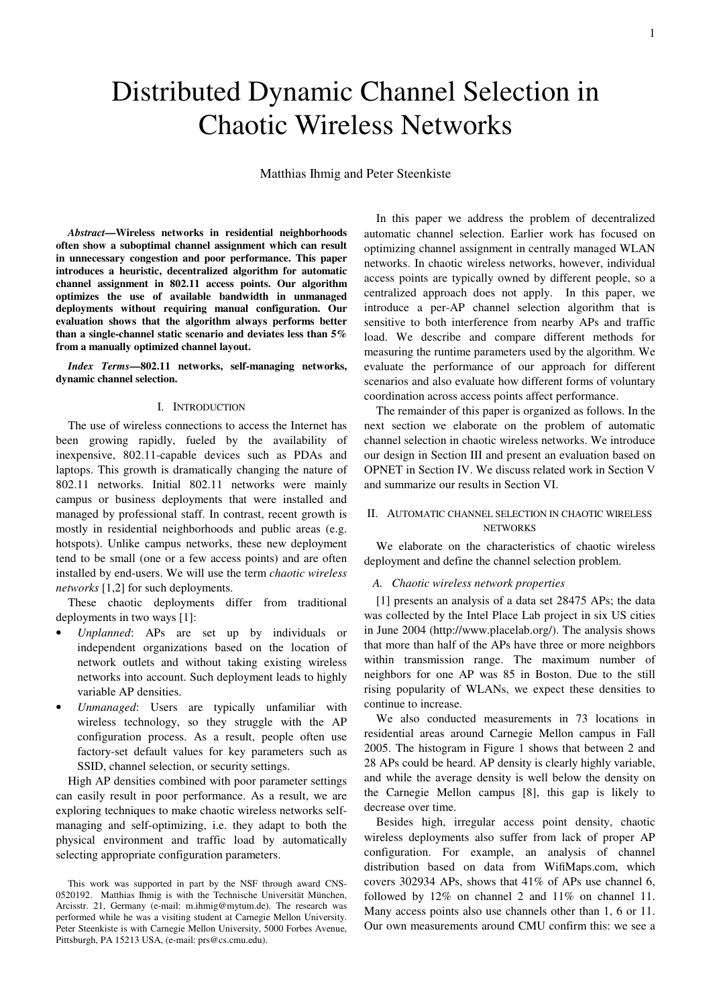# Distributed Dynamic Channel Selection in Chaotic Wireless Networks

Matthias Ihmig and Peter Steenkiste

*Abstract***—Wireless networks in residential neighborhoods often show a suboptimal channel assignment which can result in unnecessary congestion and poor performance. This paper introduces a heuristic, decentralized algorithm for automatic channel assignment in 802.11 access points. Our algorithm optimizes the use of available bandwidth in unmanaged deployments without requiring manual configuration. Our evaluation shows that the algorithm always performs better than a single-channel static scenario and deviates less than 5% from a manually optimized channel layout.** 

*Index Terms***—802.11 networks, self-managing networks, dynamic channel selection.** 

# I. INTRODUCTION

The use of wireless connections to access the Internet has been growing rapidly, fueled by the availability of inexpensive, 802.11-capable devices such as PDAs and laptops. This growth is dramatically changing the nature of 802.11 networks. Initial 802.11 networks were mainly campus or business deployments that were installed and managed by professional staff. In contrast, recent growth is mostly in residential neighborhoods and public areas (e.g. hotspots). Unlike campus networks, these new deployment tend to be small (one or a few access points) and are often installed by end-users. We will use the term *chaotic wireless networks* [1,2] for such deployments.

These chaotic deployments differ from traditional deployments in two ways [1]:

- *Unplanned*: APs are set up by individuals or independent organizations based on the location of network outlets and without taking existing wireless networks into account. Such deployment leads to highly variable AP densities.
- *Unmanaged*: Users are typically unfamiliar with wireless technology, so they struggle with the AP configuration process. As a result, people often use factory-set default values for key parameters such as SSID, channel selection, or security settings.

High AP densities combined with poor parameter settings can easily result in poor performance. As a result, we are exploring techniques to make chaotic wireless networks selfmanaging and self-optimizing, i.e. they adapt to both the physical environment and traffic load by automatically selecting appropriate configuration parameters.

In this paper we address the problem of decentralized automatic channel selection. Earlier work has focused on optimizing channel assignment in centrally managed WLAN networks. In chaotic wireless networks, however, individual access points are typically owned by different people, so a centralized approach does not apply. In this paper, we introduce a per-AP channel selection algorithm that is sensitive to both interference from nearby APs and traffic load. We describe and compare different methods for measuring the runtime parameters used by the algorithm. We evaluate the performance of our approach for different scenarios and also evaluate how different forms of voluntary coordination across access points affect performance.

The remainder of this paper is organized as follows. In the next section we elaborate on the problem of automatic channel selection in chaotic wireless networks. We introduce our design in Section III and present an evaluation based on OPNET in Section IV. We discuss related work in Section V and summarize our results in Section VI.

# II. AUTOMATIC CHANNEL SELECTION IN CHAOTIC WIRELESS **NETWORKS**

We elaborate on the characteristics of chaotic wireless deployment and define the channel selection problem.

# *A. Chaotic wireless network properties*

[1] presents an analysis of a data set 28475 APs; the data was collected by the Intel Place Lab project in six US cities in June 2004 (http://www.placelab.org/). The analysis shows that more than half of the APs have three or more neighbors within transmission range. The maximum number of neighbors for one AP was 85 in Boston. Due to the still rising popularity of WLANs, we expect these densities to continue to increase.

We also conducted measurements in 73 locations in residential areas around Carnegie Mellon campus in Fall 2005. The histogram in Figure 1 shows that between 2 and 28 APs could be heard. AP density is clearly highly variable, and while the average density is well below the density on the Carnegie Mellon campus [8], this gap is likely to decrease over time.

Besides high, irregular access point density, chaotic wireless deployments also suffer from lack of proper AP configuration. For example, an analysis of channel distribution based on data from WifiMaps.com, which covers 302934 APs, shows that 41% of APs use channel 6, followed by 12% on channel 2 and 11% on channel 11. Many access points also use channels other than 1, 6 or 11. Our own measurements around CMU confirm this: we see a

This work was supported in part by the NSF through award CNS-0520192. Matthias Ihmig is with the Technische Universität München, Arcisstr. 21, Germany (e-mail: m.ihmig@mytum.de). The research was performed while he was a visiting student at Carnegie Mellon University. Peter Steenkiste is with Carnegie Mellon University, 5000 Forbes Avenue, Pittsburgh, PA 15213 USA, (e-mail: prs@cs.cmu.edu).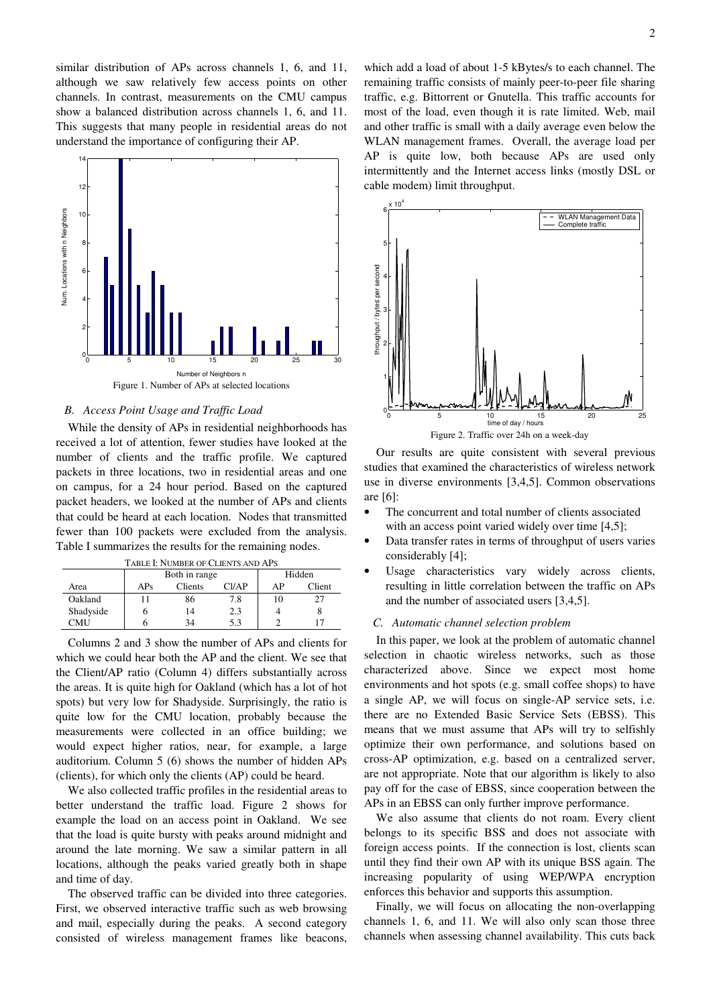similar distribution of APs across channels 1, 6, and 11, although we saw relatively few access points on other channels. In contrast, measurements on the CMU campus show a balanced distribution across channels 1, 6, and 11. This suggests that many people in residential areas do not understand the importance of configuring their AP.



# *B. Access Point Usage and Traffic Load*

While the density of APs in residential neighborhoods has received a lot of attention, fewer studies have looked at the number of clients and the traffic profile. We captured packets in three locations, two in residential areas and one on campus, for a 24 hour period. Based on the captured packet headers, we looked at the number of APs and clients that could be heard at each location. Nodes that transmitted fewer than 100 packets were excluded from the analysis. Table I summarizes the results for the remaining nodes.

| TABLE I: NUMBER OF CLIENTS AND APS |               |         |                |        |        |  |
|------------------------------------|---------------|---------|----------------|--------|--------|--|
|                                    | Both in range |         |                | Hidden |        |  |
| Area                               | APs           | Clients | C <i>1</i> /AP | ΑP     | Client |  |
| Oakland                            |               | 86      | 7.8            |        |        |  |
| Shadyside                          | n             | 14      | 2.3            |        |        |  |
| CMU                                |               | 34      | 53             |        |        |  |

Columns 2 and 3 show the number of APs and clients for which we could hear both the AP and the client. We see that the Client/AP ratio (Column 4) differs substantially across the areas. It is quite high for Oakland (which has a lot of hot spots) but very low for Shadyside. Surprisingly, the ratio is quite low for the CMU location, probably because the measurements were collected in an office building; we would expect higher ratios, near, for example, a large auditorium. Column 5 (6) shows the number of hidden APs (clients), for which only the clients (AP) could be heard.

We also collected traffic profiles in the residential areas to better understand the traffic load. Figure 2 shows for example the load on an access point in Oakland. We see that the load is quite bursty with peaks around midnight and around the late morning. We saw a similar pattern in all locations, although the peaks varied greatly both in shape and time of day.

The observed traffic can be divided into three categories. First, we observed interactive traffic such as web browsing and mail, especially during the peaks. A second category consisted of wireless management frames like beacons,

which add a load of about 1-5 kBytes/s to each channel. The remaining traffic consists of mainly peer-to-peer file sharing traffic, e.g. Bittorrent or Gnutella. This traffic accounts for most of the load, even though it is rate limited. Web, mail and other traffic is small with a daily average even below the WLAN management frames. Overall, the average load per AP is quite low, both because APs are used only intermittently and the Internet access links (mostly DSL or cable modem) limit throughput.



Our results are quite consistent with several previous studies that examined the characteristics of wireless network use in diverse environments [3,4,5]. Common observations are [6]:

- The concurrent and total number of clients associated with an access point varied widely over time [4,5];
- Data transfer rates in terms of throughput of users varies considerably [4];
- Usage characteristics vary widely across clients, resulting in little correlation between the traffic on APs and the number of associated users [3,4,5].

### *C. Automatic channel selection problem*

In this paper, we look at the problem of automatic channel selection in chaotic wireless networks, such as those characterized above. Since we expect most home environments and hot spots (e.g. small coffee shops) to have a single AP, we will focus on single-AP service sets, i.e. there are no Extended Basic Service Sets (EBSS). This means that we must assume that APs will try to selfishly optimize their own performance, and solutions based on cross-AP optimization, e.g. based on a centralized server, are not appropriate. Note that our algorithm is likely to also pay off for the case of EBSS, since cooperation between the APs in an EBSS can only further improve performance.

We also assume that clients do not roam. Every client belongs to its specific BSS and does not associate with foreign access points. If the connection is lost, clients scan until they find their own AP with its unique BSS again. The increasing popularity of using WEP/WPA encryption enforces this behavior and supports this assumption.

Finally, we will focus on allocating the non-overlapping channels 1, 6, and 11. We will also only scan those three channels when assessing channel availability. This cuts back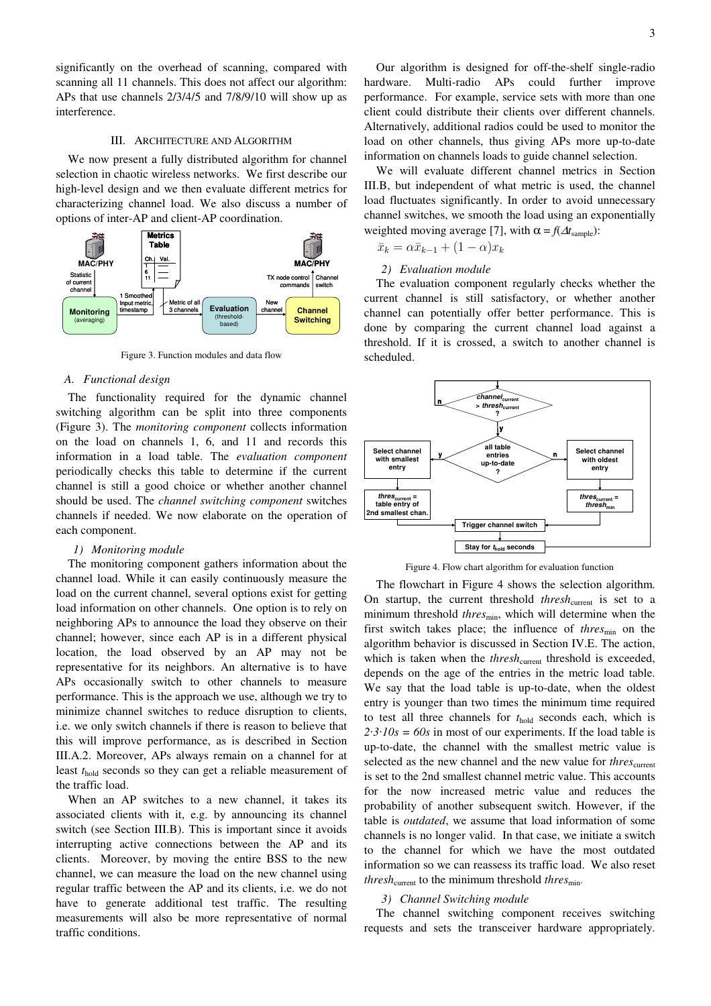significantly on the overhead of scanning, compared with scanning all 11 channels. This does not affect our algorithm: APs that use channels 2/3/4/5 and 7/8/9/10 will show up as interference.

# III. ARCHITECTURE AND ALGORITHM

We now present a fully distributed algorithm for channel selection in chaotic wireless networks. We first describe our high-level design and we then evaluate different metrics for characterizing channel load. We also discuss a number of options of inter-AP and client-AP coordination.



Figure 3. Function modules and data flow

#### *A. Functional design*

The functionality required for the dynamic channel switching algorithm can be split into three components (Figure 3). The *monitoring component* collects information on the load on channels 1, 6, and 11 and records this information in a load table. The *evaluation component* periodically checks this table to determine if the current channel is still a good choice or whether another channel should be used. The *channel switching component* switches channels if needed. We now elaborate on the operation of each component.

# *1) Monitoring module*

The monitoring component gathers information about the channel load. While it can easily continuously measure the load on the current channel, several options exist for getting load information on other channels. One option is to rely on neighboring APs to announce the load they observe on their channel; however, since each AP is in a different physical location, the load observed by an AP may not be representative for its neighbors. An alternative is to have APs occasionally switch to other channels to measure performance. This is the approach we use, although we try to minimize channel switches to reduce disruption to clients, i.e. we only switch channels if there is reason to believe that this will improve performance, as is described in Section III.A.2. Moreover, APs always remain on a channel for at least *t*hold seconds so they can get a reliable measurement of the traffic load.

When an AP switches to a new channel, it takes its associated clients with it, e.g. by announcing its channel switch (see Section III.B). This is important since it avoids interrupting active connections between the AP and its clients. Moreover, by moving the entire BSS to the new channel, we can measure the load on the new channel using regular traffic between the AP and its clients, i.e. we do not have to generate additional test traffic. The resulting measurements will also be more representative of normal traffic conditions.

Our algorithm is designed for off-the-shelf single-radio hardware. Multi-radio APs could further improve performance. For example, service sets with more than one client could distribute their clients over different channels. Alternatively, additional radios could be used to monitor the load on other channels, thus giving APs more up-to-date information on channels loads to guide channel selection.

We will evaluate different channel metrics in Section III.B, but independent of what metric is used, the channel load fluctuates significantly. In order to avoid unnecessary channel switches, we smooth the load using an exponentially weighted moving average [7], with  $\alpha = f(\Delta t_{\text{sample}})$ :

 $\bar{x}_k = \alpha \bar{x}_{k-1} + (1 - \alpha)x_k$ 

# *2) Evaluation module*

The evaluation component regularly checks whether the current channel is still satisfactory, or whether another channel can potentially offer better performance. This is done by comparing the current channel load against a threshold. If it is crossed, a switch to another channel is scheduled.



Figure 4. Flow chart algorithm for evaluation function

The flowchart in Figure 4 shows the selection algorithm. On startup, the current threshold *thresh<sub>current</sub>* is set to a minimum threshold *thres*<sub>min</sub>, which will determine when the first switch takes place; the influence of *thres*<sub>min</sub> on the algorithm behavior is discussed in Section IV.E. The action, which is taken when the *thresh*<sub>current</sub> threshold is exceeded, depends on the age of the entries in the metric load table. We say that the load table is up-to-date, when the oldest entry is younger than two times the minimum time required to test all three channels for  $t_{hold}$  seconds each, which is  $2 \cdot 3 \cdot 10s = 60s$  in most of our experiments. If the load table is up-to-date, the channel with the smallest metric value is selected as the new channel and the new value for *thres*<sub>current</sub> is set to the 2nd smallest channel metric value. This accounts for the now increased metric value and reduces the probability of another subsequent switch. However, if the table is *outdated*, we assume that load information of some channels is no longer valid. In that case, we initiate a switch to the channel for which we have the most outdated information so we can reassess its traffic load. We also reset *thresh*<sub>current</sub> to the minimum threshold *thres*<sub>min</sub>.

# *3) Channel Switching module*

The channel switching component receives switching requests and sets the transceiver hardware appropriately.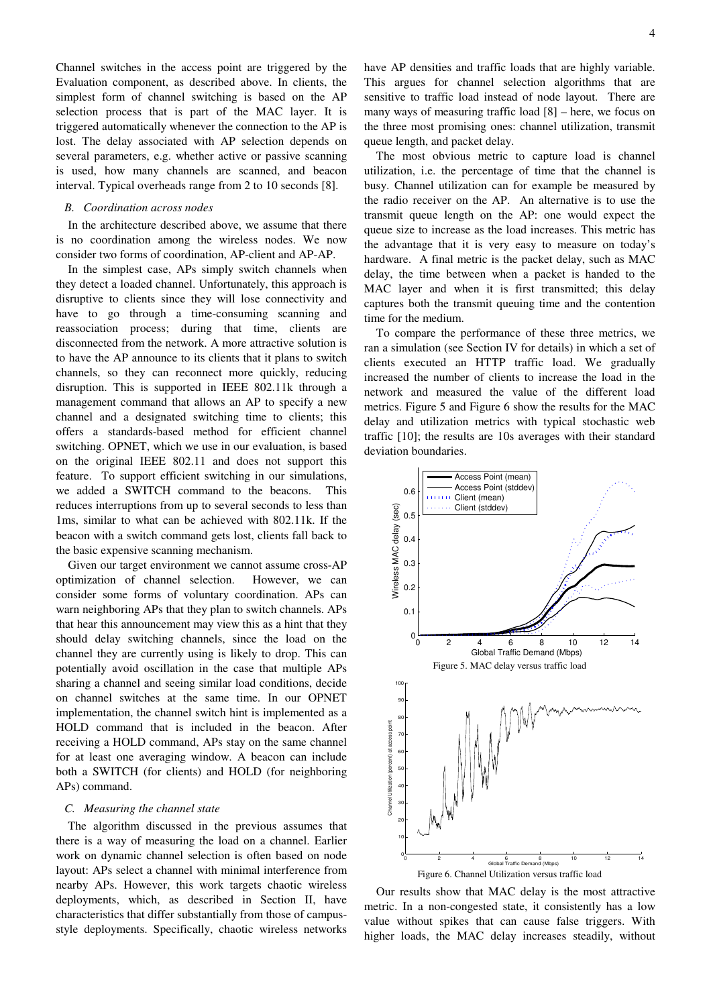Channel switches in the access point are triggered by the Evaluation component, as described above. In clients, the simplest form of channel switching is based on the AP selection process that is part of the MAC layer. It is triggered automatically whenever the connection to the AP is lost. The delay associated with AP selection depends on several parameters, e.g. whether active or passive scanning is used, how many channels are scanned, and beacon interval. Typical overheads range from 2 to 10 seconds [8].

# *B. Coordination across nodes*

In the architecture described above, we assume that there is no coordination among the wireless nodes. We now consider two forms of coordination, AP-client and AP-AP.

In the simplest case, APs simply switch channels when they detect a loaded channel. Unfortunately, this approach is disruptive to clients since they will lose connectivity and have to go through a time-consuming scanning and reassociation process; during that time, clients are disconnected from the network. A more attractive solution is to have the AP announce to its clients that it plans to switch channels, so they can reconnect more quickly, reducing disruption. This is supported in IEEE 802.11k through a management command that allows an AP to specify a new channel and a designated switching time to clients; this offers a standards-based method for efficient channel switching. OPNET, which we use in our evaluation, is based on the original IEEE 802.11 and does not support this feature. To support efficient switching in our simulations, we added a SWITCH command to the beacons. This reduces interruptions from up to several seconds to less than 1ms, similar to what can be achieved with 802.11k. If the beacon with a switch command gets lost, clients fall back to the basic expensive scanning mechanism.

Given our target environment we cannot assume cross-AP optimization of channel selection. However, we can consider some forms of voluntary coordination. APs can warn neighboring APs that they plan to switch channels. APs that hear this announcement may view this as a hint that they should delay switching channels, since the load on the channel they are currently using is likely to drop. This can potentially avoid oscillation in the case that multiple APs sharing a channel and seeing similar load conditions, decide on channel switches at the same time. In our OPNET implementation, the channel switch hint is implemented as a HOLD command that is included in the beacon. After receiving a HOLD command, APs stay on the same channel for at least one averaging window. A beacon can include both a SWITCH (for clients) and HOLD (for neighboring APs) command.

# *C. Measuring the channel state*

The algorithm discussed in the previous assumes that there is a way of measuring the load on a channel. Earlier work on dynamic channel selection is often based on node layout: APs select a channel with minimal interference from nearby APs. However, this work targets chaotic wireless deployments, which, as described in Section II, have characteristics that differ substantially from those of campusstyle deployments. Specifically, chaotic wireless networks have AP densities and traffic loads that are highly variable. This argues for channel selection algorithms that are sensitive to traffic load instead of node layout. There are many ways of measuring traffic load [8] – here, we focus on the three most promising ones: channel utilization, transmit queue length, and packet delay.

The most obvious metric to capture load is channel utilization, i.e. the percentage of time that the channel is busy. Channel utilization can for example be measured by the radio receiver on the AP. An alternative is to use the transmit queue length on the AP: one would expect the queue size to increase as the load increases. This metric has the advantage that it is very easy to measure on today's hardware. A final metric is the packet delay, such as MAC delay, the time between when a packet is handed to the MAC layer and when it is first transmitted; this delay captures both the transmit queuing time and the contention time for the medium.

To compare the performance of these three metrics, we ran a simulation (see Section IV for details) in which a set of clients executed an HTTP traffic load. We gradually increased the number of clients to increase the load in the network and measured the value of the different load metrics. Figure 5 and Figure 6 show the results for the MAC delay and utilization metrics with typical stochastic web traffic [10]; the results are 10s averages with their standard deviation boundaries.



Our results show that MAC delay is the most attractive metric. In a non-congested state, it consistently has a low value without spikes that can cause false triggers. With higher loads, the MAC delay increases steadily, without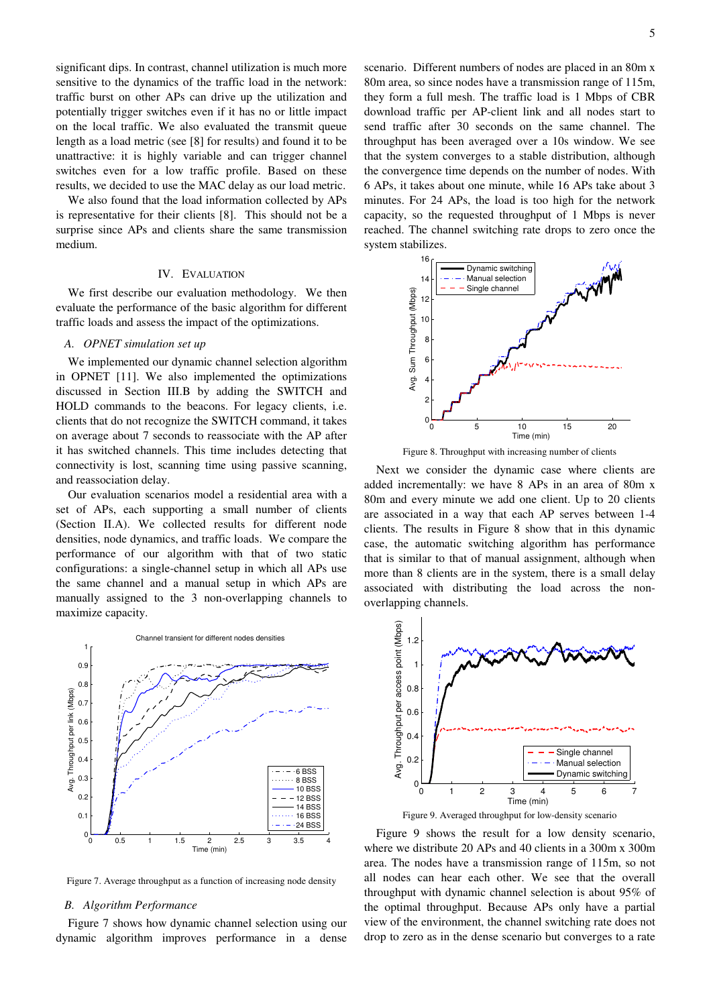significant dips. In contrast, channel utilization is much more sensitive to the dynamics of the traffic load in the network: traffic burst on other APs can drive up the utilization and potentially trigger switches even if it has no or little impact on the local traffic. We also evaluated the transmit queue length as a load metric (see [8] for results) and found it to be unattractive: it is highly variable and can trigger channel switches even for a low traffic profile. Based on these results, we decided to use the MAC delay as our load metric.

We also found that the load information collected by APs is representative for their clients [8]. This should not be a surprise since APs and clients share the same transmission medium.

#### IV. EVALUATION

We first describe our evaluation methodology. We then evaluate the performance of the basic algorithm for different traffic loads and assess the impact of the optimizations.

#### *A. OPNET simulation set up*

We implemented our dynamic channel selection algorithm in OPNET [11]. We also implemented the optimizations discussed in Section III.B by adding the SWITCH and HOLD commands to the beacons. For legacy clients, i.e. clients that do not recognize the SWITCH command, it takes on average about 7 seconds to reassociate with the AP after it has switched channels. This time includes detecting that connectivity is lost, scanning time using passive scanning, and reassociation delay.

Our evaluation scenarios model a residential area with a set of APs, each supporting a small number of clients (Section II.A). We collected results for different node densities, node dynamics, and traffic loads. We compare the performance of our algorithm with that of two static configurations: a single-channel setup in which all APs use the same channel and a manual setup in which APs are manually assigned to the 3 non-overlapping channels to maximize capacity.



Figure 7. Average throughput as a function of increasing node density

#### *B. Algorithm Performance*

Figure 7 shows how dynamic channel selection using our dynamic algorithm improves performance in a dense

scenario. Different numbers of nodes are placed in an 80m x 80m area, so since nodes have a transmission range of 115m, they form a full mesh. The traffic load is 1 Mbps of CBR download traffic per AP-client link and all nodes start to send traffic after 30 seconds on the same channel. The throughput has been averaged over a 10s window. We see that the system converges to a stable distribution, although the convergence time depends on the number of nodes. With 6 APs, it takes about one minute, while 16 APs take about 3 minutes. For 24 APs, the load is too high for the network capacity, so the requested throughput of 1 Mbps is never reached. The channel switching rate drops to zero once the system stabilizes.



Figure 8. Throughput with increasing number of clients

Next we consider the dynamic case where clients are added incrementally: we have 8 APs in an area of 80m x 80m and every minute we add one client. Up to 20 clients are associated in a way that each AP serves between 1-4 clients. The results in Figure 8 show that in this dynamic case, the automatic switching algorithm has performance that is similar to that of manual assignment, although when more than 8 clients are in the system, there is a small delay associated with distributing the load across the nonoverlapping channels.



Figure 9. Averaged throughput for low-density scenario

Figure 9 shows the result for a low density scenario, where we distribute 20 APs and 40 clients in a 300m x 300m area. The nodes have a transmission range of 115m, so not all nodes can hear each other. We see that the overall throughput with dynamic channel selection is about 95% of the optimal throughput. Because APs only have a partial view of the environment, the channel switching rate does not drop to zero as in the dense scenario but converges to a rate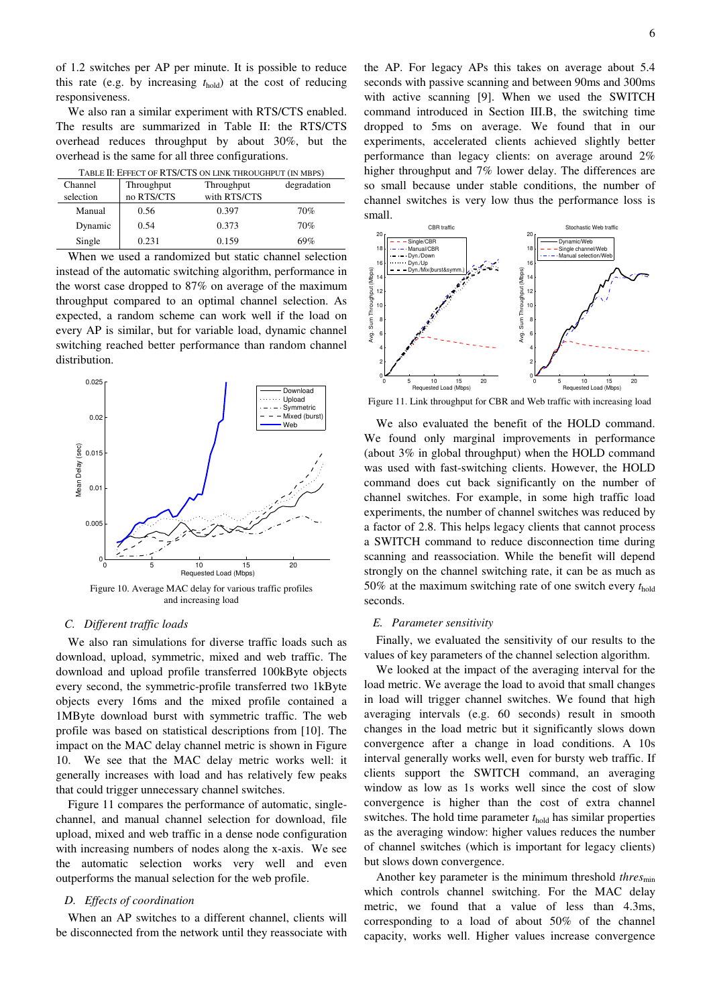of 1.2 switches per AP per minute. It is possible to reduce this rate (e.g. by increasing *t*hold) at the cost of reducing responsiveness.

We also ran a similar experiment with RTS/CTS enabled. The results are summarized in Table II: the RTS/CTS overhead reduces throughput by about 30%, but the overhead is the same for all three configurations.

| Channel   | Throughput | Throughput   | degradation |
|-----------|------------|--------------|-------------|
| selection | no RTS/CTS | with RTS/CTS |             |
| Manual    | 0.56       | 0.397        | 70%         |
| Dynamic   | 0.54       | 0.373        | 70%         |
| Single    | 0.231      | 0.159        | 69%         |

TABLE II: EFFECT OF RTS/CTS ON LINK THROUGHPUT (IN MBPS)

When we used a randomized but static channel selection instead of the automatic switching algorithm, performance in the worst case dropped to 87% on average of the maximum throughput compared to an optimal channel selection. As expected, a random scheme can work well if the load on every AP is similar, but for variable load, dynamic channel switching reached better performance than random channel distribution.



Figure 10. Average MAC delay for various traffic profiles and increasing load

## *C. Different traffic loads*

We also ran simulations for diverse traffic loads such as download, upload, symmetric, mixed and web traffic. The download and upload profile transferred 100kByte objects every second, the symmetric-profile transferred two 1kByte objects every 16ms and the mixed profile contained a 1MByte download burst with symmetric traffic. The web profile was based on statistical descriptions from [10]. The impact on the MAC delay channel metric is shown in Figure 10. We see that the MAC delay metric works well: it generally increases with load and has relatively few peaks that could trigger unnecessary channel switches.

Figure 11 compares the performance of automatic, singlechannel, and manual channel selection for download, file upload, mixed and web traffic in a dense node configuration with increasing numbers of nodes along the x-axis. We see the automatic selection works very well and even outperforms the manual selection for the web profile.

# *D. Effects of coordination*

When an AP switches to a different channel, clients will be disconnected from the network until they reassociate with

the AP. For legacy APs this takes on average about 5.4 seconds with passive scanning and between 90ms and 300ms with active scanning [9]. When we used the SWITCH command introduced in Section III.B, the switching time dropped to 5ms on average. We found that in our experiments, accelerated clients achieved slightly better performance than legacy clients: on average around 2% higher throughput and 7% lower delay. The differences are so small because under stable conditions, the number of channel switches is very low thus the performance loss is small.



Figure 11. Link throughput for CBR and Web traffic with increasing load

We also evaluated the benefit of the HOLD command. We found only marginal improvements in performance (about 3% in global throughput) when the HOLD command was used with fast-switching clients. However, the HOLD command does cut back significantly on the number of channel switches. For example, in some high traffic load experiments, the number of channel switches was reduced by a factor of 2.8. This helps legacy clients that cannot process a SWITCH command to reduce disconnection time during scanning and reassociation. While the benefit will depend strongly on the channel switching rate, it can be as much as 50% at the maximum switching rate of one switch every *t*hold seconds.

### *E. Parameter sensitivity*

Finally, we evaluated the sensitivity of our results to the values of key parameters of the channel selection algorithm.

We looked at the impact of the averaging interval for the load metric. We average the load to avoid that small changes in load will trigger channel switches. We found that high averaging intervals (e.g. 60 seconds) result in smooth changes in the load metric but it significantly slows down convergence after a change in load conditions. A 10s interval generally works well, even for bursty web traffic. If clients support the SWITCH command, an averaging window as low as 1s works well since the cost of slow convergence is higher than the cost of extra channel switches. The hold time parameter  $t_{hold}$  has similar properties as the averaging window: higher values reduces the number of channel switches (which is important for legacy clients) but slows down convergence.

Another key parameter is the minimum threshold *thres*min which controls channel switching. For the MAC delay metric, we found that a value of less than 4.3ms, corresponding to a load of about 50% of the channel capacity, works well. Higher values increase convergence